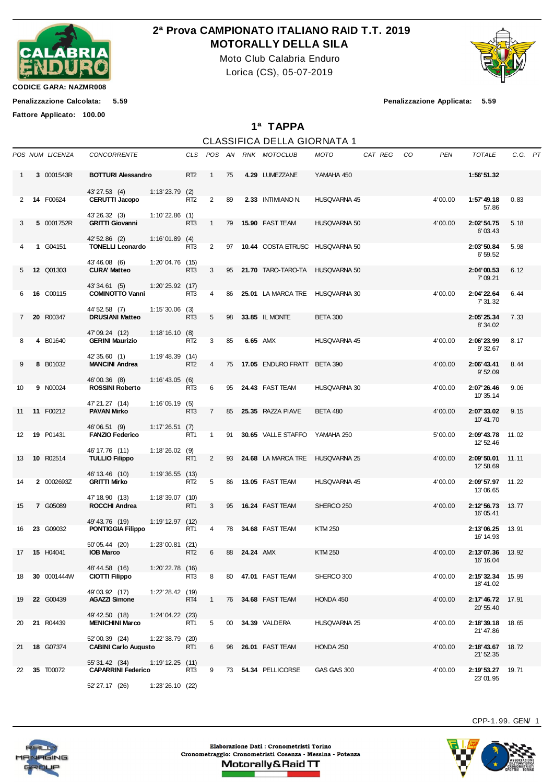

## **2ª Prova CAMPIONATO ITALIANO RAID T.T. 2019 MOTORALLY DELLA SILA**

Moto Club Calabria Enduro Lorica (CS), 05-07-2019



**CODICE GARA: NAZMR008**

**Fattore Applicato: 100.00**

**Penalizzazione Calcolata: 5.59 Penalizzazione Applicata: 5.59**

**1ª TAPPA**

|             |                    |                                              |                      |                 |                |    |           | <b>CLASSIFICA DELLA GIORNATA 1</b> |                     |         |    |            |                                       |         |  |
|-------------|--------------------|----------------------------------------------|----------------------|-----------------|----------------|----|-----------|------------------------------------|---------------------|---------|----|------------|---------------------------------------|---------|--|
|             | POS NUM LICENZA    | <b>CONCORRENTE</b>                           |                      |                 |                |    |           | CLS POS AN RNK MOTOCLUB            | <b>MOTO</b>         | CAT REG | CO | <b>PEN</b> | <b>TOTALE</b>                         | C.G. PT |  |
| 1           | 3 0001543R         | <b>BOTTURI Alessandro</b>                    |                      | RT <sub>2</sub> | $\mathbf{1}$   | 75 |           | 4.29 LUMEZZANE                     | YAMAHA 450          |         |    |            | 1:56'51.32                            |         |  |
| 2           | <b>14 F00624</b>   | 43'27.53 (4)<br><b>CERUTTI Jacopo</b>        | $1:13'23.79$ (2)     | RT <sub>2</sub> | 2              | 89 |           | 2.33 INTIMIANO N.                  | HUSQVARNA 45        |         |    | 4'00.00    | 1:57' 49.18<br>57.86                  | 0.83    |  |
| 3           | 5 0001752R         | 43' 26.32 (3)<br><b>GRITTI Giovanni</b>      | 1:10'22.86(1)        | RT <sub>3</sub> | 1              | 79 |           | <b>15.90 FAST TEAM</b>             | HUSQVARNA 50        |         |    | 4'00.00    | 2:02' 54.75                           | 5.18    |  |
|             | 1 G04151           | 42' 52.86 (2)<br><b>TONELLI Leonardo</b>     | 1:16'01.89(4)        | RT3             | 2              | 97 |           | 10.44 COSTA ETRUSC HUSQVARNA 50    |                     |         |    |            | 6'03.43<br>2:03'50.84                 | 5.98    |  |
|             |                    | 43'46.08 (6)                                 | $1:20'04.76$ (15)    |                 |                |    |           |                                    |                     |         |    |            | 6'59.52                               |         |  |
| 5           | <b>12 Q01303</b>   | <b>CURA' Matteo</b><br>43' 34.61 (5)         | $1:20'25.92$ (17)    | RT3             | 3              | 95 |           | 21.70 TARO-TARO-TA HUSQVARNA 50    |                     |         |    |            | 2:04'00.53<br>7'09.21                 | 6.12    |  |
| 6           | 16 C00115          | <b>COMINOTTO Vanni</b><br>44' 52.58 (7)      | $1:15'30.06$ (3)     | RT3             | 4              | 86 |           | 25.01 LA MARCA TRE HUSQVARNA 30    |                     |         |    | 4'00.00    | 2:04'22.64<br>7' 31.32                | 6.44    |  |
| $7^{\circ}$ | 20 R00347          | <b>DRUSIANI Matteo</b>                       |                      | RT3             | 5              | 98 |           | 33.85 IL MONTE                     | <b>BETA 300</b>     |         |    |            | 2:05'25.34<br>8'34.02                 | 7.33    |  |
| 8           | 4 B01640           | 47' 09.24 (12)<br><b>GERINI Maurizio</b>     | 1:18'16.10(8)        | RT <sub>2</sub> | 3              | 85 |           | 6.65 AMX                           | HUSQVARNA 45        |         |    | 4'00.00    | 2:06'23.99<br>9'32.67                 | 8.17    |  |
| 9           | 8 B01032           | 42' 35.60 (1)<br><b>MANCINI Andrea</b>       | $1:19'48.39$ (14)    | RT <sub>2</sub> | $\overline{4}$ | 75 |           | <b>17.05 ENDURO FRATT</b>          | <b>BETA 390</b>     |         |    | 4'00.00    | 2:06'43.41<br>9'52.09                 | 8.44    |  |
| 10          | 9 N00024           | 46'00.36 (8)<br><b>ROSSINI Roberto</b>       | $1:16' 43.05$ (6)    | RT3             | 6              |    |           | 95 24.43 FAST TEAM                 | HUSQVARNA 30        |         |    | 4'00.00    | 2:07'26.46                            | 9.06    |  |
| 11          | 11 F00212          | 47' 21.27 (14)<br><b>PAVAN Mirko</b>         | 1:16'05.19(5)        | RT <sub>3</sub> | $7^{\circ}$    | 85 |           | 25.35 RAZZA PIAVE                  | <b>BETA 480</b>     |         |    | 4'00.00    | 10'35.14<br>2:07'33.02                | 9.15    |  |
| 12          | 19 P01431          | 46'06.51 (9)<br><b>FANZIO Federico</b>       | 1:17'26.51(7)        | RT1             | $\mathbf{1}$   | 91 |           | 30.65 VALLE STAFFO                 | YAMAHA 250          |         |    | 5'00.00    | 10'41.70<br>2:09'43.78 11.02          |         |  |
|             |                    | 46' 17.76 (11)                               | $1:18'26.02$ (9)     |                 |                |    |           |                                    |                     |         |    |            | 12' 52.46                             |         |  |
| 13          | 10 R02514          | <b>TULLIO Filippo</b><br>46' 13.46 (10)      | $1:19'36.55$ (13)    | RT <sub>1</sub> | $\mathbf{2}$   |    |           | 93 24.68 LA MARCA TRE              | <b>HUSQVARNA 25</b> |         |    | 4'00.00    | 2:09'50.01<br>12' 58.69               | 11.11   |  |
| 14          | 2 0002693Z         | <b>GRITTI Mirko</b>                          | $1:18'39.07$ (10)    | RT <sub>2</sub> | 5              |    |           | 86 13.05 FAST TEAM                 | HUSQVARNA 45        |         |    | 4'00.00    | 2:09'57.97<br>13'06.65                | 11.22   |  |
| 15          | 7 G05089           | 47' 18.90 (13)<br><b>ROCCHI Andrea</b>       |                      | RT <sub>1</sub> | 3              |    |           | 95 16.24 FAST TEAM                 | SHERCO 250          |         |    | 4'00.00    | 2:12'56.73<br>16'05.41                | 13.77   |  |
| 16          | 23 G09032          | 49' 43.76 (19)<br><b>PONTIGGIA Filippo</b>   | 1:19'12.97(12)       | RT1             | 4              | 78 |           | 34.68 FAST TEAM                    | <b>KTM 250</b>      |         |    |            | 2:13'06.25 13.91<br>16' 14.93         |         |  |
|             | 17  15  H04041     | 50'05.44 (20)<br><b>IOB Marco</b>            | $1:23'00.81$ (21)    | RT <sub>2</sub> | 6              | 88 | 24.24 AMX |                                    | <b>KTM 250</b>      |         |    | 4'00.00    | 2:13'07.36 13.92<br>16' 16.04         |         |  |
| 18          | <b>30</b> 0001444W | 48'44.58 (16)<br><b>CIOTTI Filippo</b>       | $1:20'$ 22.78 $(16)$ | RT3             | 8              | 80 |           | 47.01 FAST TEAM                    | SHERCO 300          |         |    | 4'00.00    | 2:15'32.34<br>18' 41.02               | 15.99   |  |
| 19          | 22 G00439          | 49'03.92 (17)<br><b>AGAZZI Simone</b>        | $1:22'28.42$ (19)    | RT4             | $\mathbf{1}$   | 76 |           | 34.68 FAST TEAM                    | HONDA 450           |         |    | 4'00.00    | 2:17'46.72<br>20' 55.40               | 17.91   |  |
| 20          | 21 R04439          | 49' 42.50 (18)<br><b>MENICHINI Marco</b>     | $1:24'04.22$ (23)    | RT1             | 5              | 00 |           | 34.39 VALDERA                      | HUSQVARNA 25        |         |    | 4'00.00    | 2:18'39.18                            | 18.65   |  |
| 21          | 18 G07374          | 52'00.39 (24)<br><b>CABINI Carlo Augusto</b> | 1:22'38.79 (20)      | RT1             | 6              | 98 |           | 26.01 FAST TEAM                    | HONDA 250           |         |    | 4'00.00    | 21'47.86<br>2:18'43.67 18.72          |         |  |
| 22          | <b>35</b> T00072   | 55' 31.42 (34)<br><b>CAPARRINI Federico</b>  | 1:19'12.25(11)       | RT3             | 9              | 73 |           | 54.34 PELLICORSE                   | GAS GAS 300         |         |    | 4'00.00    | 21' 52.35<br><b>2:19' 53.27</b> 19.71 |         |  |
|             |                    | 52' 27.17 (26)                               | 1:23'26.10(22)       |                 |                |    |           |                                    |                     |         |    |            | 23'01.95                              |         |  |



CPP-1. 99. GEN/ 1



Elaborazione Dati : Cronometristi Torino Cronometraggio: Cronometristi Cosenza - Messina - Potenza Motorally&Raid TT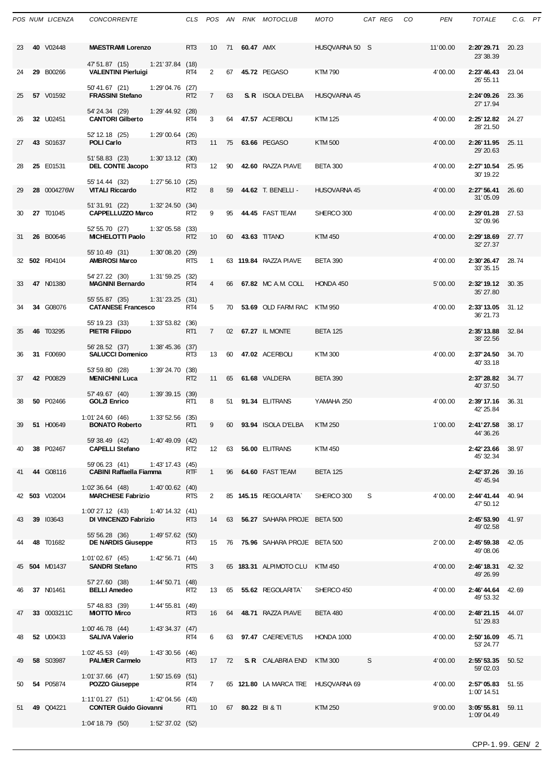|    | POS NUM LICENZA  | <b>CONCORRENTE</b>                                        |                      | CLS                     |                |    |              | POS AN RNK MOTOCLUB                 | <b>MOTO</b>     | CAT REG | CO | <b>PEN</b> | <b>TOTALE</b>                 | C.G. PT |  |
|----|------------------|-----------------------------------------------------------|----------------------|-------------------------|----------------|----|--------------|-------------------------------------|-----------------|---------|----|------------|-------------------------------|---------|--|
| 23 | 40 V02448        | <b>MAESTRAMI Lorenzo</b>                                  |                      | RT <sub>3</sub>         | 10             |    | 71 60.47 AMX |                                     | HUSQVARNA 50 S  |         |    | 11'00.00   | 2:20'29.71<br>23' 38.39       | 20.23   |  |
| 24 | 29 B00266        | 47' 51.87 (15)<br><b>VALENTINI Pierluiai</b>              | $1:21'37.84$ (18)    | RT4                     | $\overline{2}$ | 67 |              | 45.72 PEGASO                        | <b>KTM790</b>   |         |    | 4'00.00    | 2:23'46.43<br>26' 55.11       | 23.04   |  |
| 25 | 57 V01592        | 50'41.67 (21)<br><b>FRASSINI Stefano</b>                  | $1:29'04.76$ (27)    | RT <sub>2</sub>         | $7^{\circ}$    | 63 |              | <b>S. R</b> ISOLA D'ELBA            | HUSQVARNA 45    |         |    |            | 2:24'09.26<br>27' 17.94       | 23.36   |  |
| 26 | 32 U02451        | 54' 24.34 (29)<br><b>CANTORI Gilberto</b>                 | 1:29' 44.92 (28)     | RT4                     | 3              | 64 |              | 47.57 ACERBOLI                      | <b>KTM 125</b>  |         |    | 4'00.00    | 2:25' 12.82<br>28' 21.50      | 24.27   |  |
| 27 | 43 S01637        | 52' 12.18 (25)<br><b>POLI Carlo</b>                       | $1:29'00.64$ (26)    | RT3                     | 11             | 75 |              | 63.66 PEGASO                        | <b>KTM 500</b>  |         |    | 4'00.00    | 2:26' 11.95<br>29' 20.63      | 25.11   |  |
| 28 | 25 E01531        | 51'58.83 (23)<br><b>DEL CONTE Jacopo</b>                  | $1:30'$ 13.12 $(30)$ | RT3                     | 12             | 90 |              | 42.60 RAZZA PIAVE                   | BETA 300        |         |    | 4'00.00    | 2:27' 10.54<br>30' 19.22      | 25.95   |  |
| 29 | 28 0004276W      | 55' 14.44 (32)<br><b>VITALI Riccardo</b>                  | 1:27'56.10(25)       | RT <sub>2</sub>         | 8              | 59 |              | 44.62 T. BENELLI -                  | HUSQVARNA 45    |         |    | 4'00.00    | 2:27'56.41<br>31'05.09        | 26.60   |  |
| 30 | 27 T01045        | 51'31.91 (22)<br><b>CAPPELLUZZO Marco</b>                 | $1:32'$ 24.50 $(34)$ | RT <sub>2</sub>         | 9              | 95 |              | 44.45 FAST TEAM                     | SHERCO 300      |         |    | 4'00.00    | 2:29'01.28<br>32'09.96        | 27.53   |  |
| 31 | 26 B00646        | 52' 55.70 (27)<br><b>MICHELOTTI Paolo</b>                 | 1:32'05.58           | (33)<br>RT <sub>2</sub> | 10             | 60 |              | 43.63 TITANO                        | <b>KTM 450</b>  |         |    | 4'00.00    | 2:29'18.69<br>32' 27.37       | 27.77   |  |
|    | 32 502 R04104    | 55' 10.49 (31)<br><b>AMBROSI Marco</b>                    | 1:30'08.20(29)       | <b>RTS</b>              | $\mathbf{1}$   |    |              | 63 119.84 RAZZA PIAVE               | <b>BETA 390</b> |         |    | 4'00.00    | 2:30'26.47<br>33' 35.15       | 28.74   |  |
| 33 | 47 N01380        | 54' 27.22 (30)<br><b>MAGNINI Bernardo</b>                 | 1:31'59.25(32)       | RT <sub>4</sub>         | 4              | 66 |              | 67.82 MC A.M. COLL                  | HONDA 450       |         |    | 5'00.00    | 2:32' 19.12<br>35' 27.80      | 30.35   |  |
| 34 | 34 G08076        | 55' 55.87 (35)<br><b>CATANESE Francesco</b>               | 1:31'23.25(31)       | RT4                     | 5              | 70 |              | 53.69 OLD FARM RAC                  | <b>KTM 950</b>  |         |    | 4'00.00    | 2:33'13.05<br>36' 21.73       | 31.12   |  |
| 35 | 46 T03295        | 55' 19.23 (33)<br><b>PIETRI Filippo</b>                   | $1:33'53.82$ (36)    | RT <sub>1</sub>         | $\overline{7}$ |    |              | 02 67.27 IL MONTE                   | <b>BETA 125</b> |         |    |            | 2:35' 13.88<br>38' 22.56      | 32.84   |  |
| 36 | 31 F00690        | 56' 28.52 (37)<br><b>SALUCCI Domenico</b>                 | 1:38'45.36           | (37)<br>RT3             | 13             | 60 |              | 47.02 ACERBOLI                      | KTM 300         |         |    | 4'00.00    | 2:37'24.50<br>40'33.18        | 34.70   |  |
| 37 | 42 P00829        | 53' 59.80 (28)<br><b>MENICHINI Luca</b>                   | 1:39'24.70(38)       | RT <sub>2</sub>         | 11             | 65 |              | 61.68 VALDERA                       | <b>BETA 390</b> |         |    |            | 2:37' 28.82<br>40'37.50       | 34.77   |  |
| 38 | 50 P02466        | 57' 49.67 (40)<br><b>GOLZI Enrico</b>                     | 1:39'39.15(39)       | RT1                     | 8              | 51 |              | 91.34 ELITRANS                      | YAMAHA 250      |         |    | 4'00.00    | 2:39' 17.16<br>42' 25.84      | 36.31   |  |
| 39 | 51 H00649        | 1:01'24.60(46)<br><b>BONATO Roberto</b>                   | $1:33'52.56$ (35)    | RT <sub>1</sub>         | 9              | 60 |              | 93.94 ISOLA D'ELBA                  | <b>KTM 250</b>  |         |    | 1'00.00    | 2:41'27.58                    | 38.17   |  |
| 40 | 38 P02467        | 59' 38.49 (42) 1:40' 49.09 (42)<br><b>CAPELLI Stefano</b> |                      | RT <sub>2</sub>         |                |    |              | 12 63 56.00 ELITRANS                | KTM 450         |         |    |            | 44 36 26<br>2:42'23.66        | 38.97   |  |
| 41 | 44 G08116        | 59'06.23 (41)<br><b>CABINI Raffaella Fiamma</b>           | $1:43'$ 17.43 $(45)$ | <b>RTF</b>              | $\overline{1}$ |    |              | 96 64.60 FAST TEAM                  | <b>BETA 125</b> |         |    |            | 45' 32.34<br>2:42'37.26 39.16 |         |  |
|    | 42 503 V02004    | 1:02'36.64(48)<br><b>MARCHESE Fabrizio</b>                | $1:40'00.62$ (40)    | <b>RTS</b>              | $2^{\circ}$    |    |              | 85 145.15 REGOLARITA`               | SHERCO 300      | S       |    | 4'00.00    | 45' 45.94<br>2:44'41.44 40.94 |         |  |
| 43 | 39 103643        | $1:00'$ 27.12 $(43)$<br>DI VINCENZO Fabrizio              | 1:40'14.32 (41)      | RT3                     | 14             |    |              | 63 56.27 SAHARA PROJE BETA 500      |                 |         |    |            | 47' 50.12<br>2:45'53.90       | 41.97   |  |
| 44 | 48 T01682        | 55' 56.28 (36)<br><b>DE NARDIS Giuseppe</b>               | 1:49'57.62(50)       | RT3                     |                |    |              | 15 76 75.96 SAHARA PROJE BETA 500   |                 |         |    | 2'00.00    | 49'02.58<br>2:45'59.38        | 42.05   |  |
|    | 45 504 M01437    | 1:01'02.67 (45)<br><b>SANDRI Stefano</b>                  | 1:42'56.71(44)       | <b>RTS</b>              | 3 <sup>1</sup> |    |              | 65 183.31 ALPIMOTO CLU KTM 450      |                 |         |    | 4'00.00    | 49'08.06<br>2:46' 18.31       | 42.32   |  |
| 46 | 37 N01461        | 57'27.60 (38)<br><b>BELLI Amedeo</b>                      | 1:44'50.71(48)       | RT2                     |                |    |              | 13 65 55.62 REGOLARITA              | SHERCO 450      |         |    | 4'00.00    | 49' 26.99<br>2:46'44.64       | 42.69   |  |
| 47 | 33 0003211C      | 57' 48.83 (39)<br><b>MIOTTO Mirco</b>                     | $1:44'55.81$ (49)    | RT3                     |                |    |              | 16 64 48.71 RAZZA PIAVE             | BETA 480        |         |    | 4'00.00    | 49' 53.32<br>2:48'21.15 44.07 |         |  |
| 48 | <b>52</b> U00433 | $1:00'$ 46.78 $(44)$<br><b>SALIVA Valerio</b>             | 1:43'34.37(47)       | RT <sub>4</sub>         | 6              |    |              | 63 97.47 CAEREVETUS                 | HONDA 1000      |         |    | 4'00.00    | 51'29.83<br>2:50'16.09        | 45.71   |  |
| 49 | 58 S03987        | $1:02'$ 45.53 (49)<br><b>PALMER Carmelo</b>               | $1:43'30.56$ (46)    | RT3                     |                |    |              | 17 72 S.R. CALABRIA END             | KTM 300         | S       |    | 4'00.00    | 53' 24.77<br>2:55' 53.35      | 50.52   |  |
| 50 | 54 P05874        | $1:01'37.66$ (47)<br>POZZO Giuseppe                       | $1:50' 15.69$ (51)   | RT4                     | $7^{\circ}$    |    |              | 65 121.80 LA MARCA TRE HUSQVARNA 69 |                 |         |    | 4'00.00    | 59'02.03<br>2:57'05.83        | 51.55   |  |
| 51 | 49 Q04221        | 1:11'01.27(51)<br><b>CONTER Guido Giovanni</b>            | 1:42'04.56 (43)      | RT1                     |                |    |              | 10 67 80.22 BI&TI                   | KTM 250         |         |    | 9'00.00    | 1:00' 14.51<br>3:05'55.81     | 59.11   |  |
|    |                  | 1:04'18.79 (50) 1:52'37.02 (52)                           |                      |                         |                |    |              |                                     |                 |         |    |            | 1:09'04.49                    |         |  |